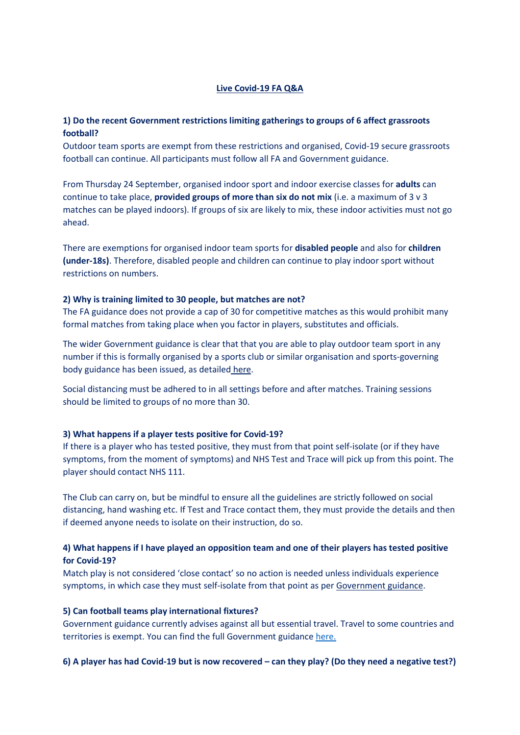## Live Covid-19 FA Q&A

## 1) Do the recent Government restrictions limiting gatherings to groups of 6 affect grassroots football?

Outdoor team sports are exempt from these restrictions and organised, Covid-19 secure grassroots football can continue. All participants must follow all FA and Government guidance.

From Thursday 24 September, organised indoor sport and indoor exercise classes for adults can continue to take place, **provided groups of more than six do not mix** (i.e. a maximum of 3  $\vee$  3 matches can be played indoors). If groups of six are likely to mix, these indoor activities must not go ahead.

There are exemptions for organised indoor team sports for disabled people and also for children (under-18s). Therefore, disabled people and children can continue to play indoor sport without restrictions on numbers.

#### 2) Why is training limited to 30 people, but matches are not?

The FA guidance does not provide a cap of 30 for competitive matches as this would prohibit many formal matches from taking place when you factor in players, substitutes and officials.

The wider Government guidance is clear that that you are able to play outdoor team sport in any number if this is formally organised by a sports club or similar organisation and sports-governing body guidance has been issued, as detailed here.

Social distancing must be adhered to in all settings before and after matches. Training sessions should be limited to groups of no more than 30.

## 3) What happens if a player tests positive for Covid-19?

If there is a player who has tested positive, they must from that point self-isolate (or if they have symptoms, from the moment of symptoms) and NHS Test and Trace will pick up from this point. The player should contact NHS 111.

The Club can carry on, but be mindful to ensure all the guidelines are strictly followed on social distancing, hand washing etc. If Test and Trace contact them, they must provide the details and then if deemed anyone needs to isolate on their instruction, do so.

## 4) What happens if I have played an opposition team and one of their players has tested positive for Covid-19?

Match play is not considered 'close contact' so no action is needed unless individuals experience symptoms, in which case they must self-isolate from that point as per Government guidance.

#### 5) Can football teams play international fixtures?

Government guidance currently advises against all but essential travel. Travel to some countries and territories is exempt. You can find the full Government guidance here.

## 6) A player has had Covid-19 but is now recovered – can they play? (Do they need a negative test?)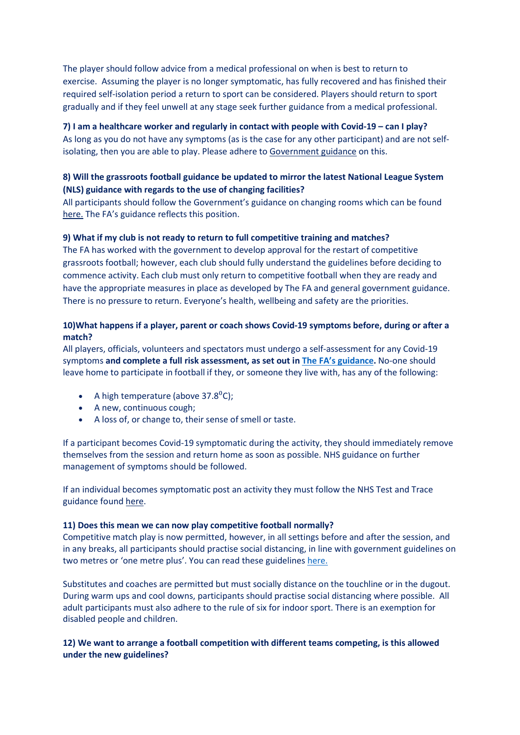The player should follow advice from a medical professional on when is best to return to exercise. Assuming the player is no longer symptomatic, has fully recovered and has finished their required self-isolation period a return to sport can be considered. Players should return to sport gradually and if they feel unwell at any stage seek further guidance from a medical professional.

## 7) I am a healthcare worker and regularly in contact with people with Covid-19 – can I play?

As long as you do not have any symptoms (as is the case for any other participant) and are not selfisolating, then you are able to play. Please adhere to Government guidance on this.

# 8) Will the grassroots football guidance be updated to mirror the latest National League System (NLS) guidance with regards to the use of changing facilities?

All participants should follow the Government's guidance on changing rooms which can be found here. The FA's guidance reflects this position.

## 9) What if my club is not ready to return to full competitive training and matches?

The FA has worked with the government to develop approval for the restart of competitive grassroots football; however, each club should fully understand the guidelines before deciding to commence activity. Each club must only return to competitive football when they are ready and have the appropriate measures in place as developed by The FA and general government guidance. There is no pressure to return. Everyone's health, wellbeing and safety are the priorities.

# 10)What happens if a player, parent or coach shows Covid-19 symptoms before, during or after a match?

All players, officials, volunteers and spectators must undergo a self-assessment for any Covid-19 symptoms and complete a full risk assessment, as set out in The FA's guidance. No-one should leave home to participate in football if they, or someone they live with, has any of the following:

- A high temperature (above 37.8 $^0$ C);
- A new, continuous cough;
- A loss of, or change to, their sense of smell or taste.

If a participant becomes Covid-19 symptomatic during the activity, they should immediately remove themselves from the session and return home as soon as possible. NHS guidance on further management of symptoms should be followed.

If an individual becomes symptomatic post an activity they must follow the NHS Test and Trace guidance found here.

## 11) Does this mean we can now play competitive football normally?

Competitive match play is now permitted, however, in all settings before and after the session, and in any breaks, all participants should practise social distancing, in line with government guidelines on two metres or 'one metre plus'. You can read these guidelines here.

Substitutes and coaches are permitted but must socially distance on the touchline or in the dugout. During warm ups and cool downs, participants should practise social distancing where possible. All adult participants must also adhere to the rule of six for indoor sport. There is an exemption for disabled people and children.

## 12) We want to arrange a football competition with different teams competing, is this allowed under the new guidelines?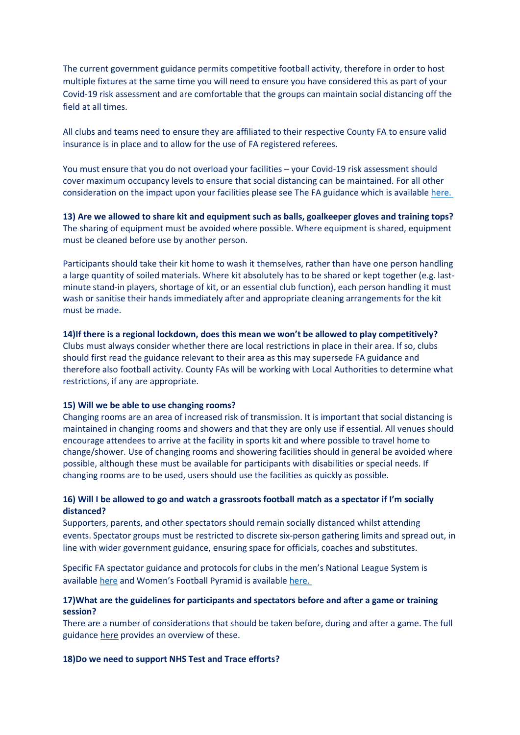The current government guidance permits competitive football activity, therefore in order to host multiple fixtures at the same time you will need to ensure you have considered this as part of your Covid-19 risk assessment and are comfortable that the groups can maintain social distancing off the field at all times.

All clubs and teams need to ensure they are affiliated to their respective County FA to ensure valid insurance is in place and to allow for the use of FA registered referees.

You must ensure that you do not overload your facilities – your Covid-19 risk assessment should cover maximum occupancy levels to ensure that social distancing can be maintained. For all other consideration on the impact upon your facilities please see The FA guidance which is available here.

13) Are we allowed to share kit and equipment such as balls, goalkeeper gloves and training tops? The sharing of equipment must be avoided where possible. Where equipment is shared, equipment must be cleaned before use by another person.

Participants should take their kit home to wash it themselves, rather than have one person handling a large quantity of soiled materials. Where kit absolutely has to be shared or kept together (e.g. lastminute stand-in players, shortage of kit, or an essential club function), each person handling it must wash or sanitise their hands immediately after and appropriate cleaning arrangements for the kit must be made.

14)If there is a regional lockdown, does this mean we won't be allowed to play competitively? Clubs must always consider whether there are local restrictions in place in their area. If so, clubs should first read the guidance relevant to their area as this may supersede FA guidance and therefore also football activity. County FAs will be working with Local Authorities to determine what restrictions, if any are appropriate.

### 15) Will we be able to use changing rooms?

Changing rooms are an area of increased risk of transmission. It is important that social distancing is maintained in changing rooms and showers and that they are only use if essential. All venues should encourage attendees to arrive at the facility in sports kit and where possible to travel home to change/shower. Use of changing rooms and showering facilities should in general be avoided where possible, although these must be available for participants with disabilities or special needs. If changing rooms are to be used, users should use the facilities as quickly as possible.

## 16) Will I be allowed to go and watch a grassroots football match as a spectator if I'm socially distanced?

Supporters, parents, and other spectators should remain socially distanced whilst attending events. Spectator groups must be restricted to discrete six-person gathering limits and spread out, in line with wider government guidance, ensuring space for officials, coaches and substitutes.

Specific FA spectator guidance and protocols for clubs in the men's National League System is available here and Women's Football Pyramid is available here.

## 17)What are the guidelines for participants and spectators before and after a game or training session?

There are a number of considerations that should be taken before, during and after a game. The full guidance here provides an overview of these.

#### 18)Do we need to support NHS Test and Trace efforts?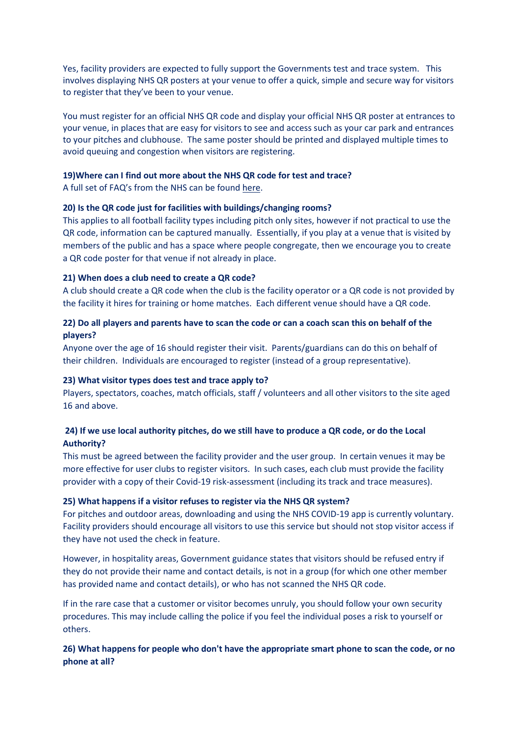Yes, facility providers are expected to fully support the Governments test and trace system. This involves displaying NHS QR posters at your venue to offer a quick, simple and secure way for visitors to register that they've been to your venue.

You must register for an official NHS QR code and display your official NHS QR poster at entrances to your venue, in places that are easy for visitors to see and access such as your car park and entrances to your pitches and clubhouse. The same poster should be printed and displayed multiple times to avoid queuing and congestion when visitors are registering.

#### 19)Where can I find out more about the NHS QR code for test and trace?

A full set of FAQ's from the NHS can be found here.

### 20) Is the QR code just for facilities with buildings/changing rooms?

This applies to all football facility types including pitch only sites, however if not practical to use the QR code, information can be captured manually. Essentially, if you play at a venue that is visited by members of the public and has a space where people congregate, then we encourage you to create a QR code poster for that venue if not already in place.

### 21) When does a club need to create a QR code?

A club should create a QR code when the club is the facility operator or a QR code is not provided by the facility it hires for training or home matches. Each different venue should have a QR code.

## 22) Do all players and parents have to scan the code or can a coach scan this on behalf of the players?

Anyone over the age of 16 should register their visit. Parents/guardians can do this on behalf of their children. Individuals are encouraged to register (instead of a group representative).

#### 23) What visitor types does test and trace apply to?

Players, spectators, coaches, match officials, staff / volunteers and all other visitors to the site aged 16 and above.

## 24) If we use local authority pitches, do we still have to produce a QR code, or do the Local Authority?

This must be agreed between the facility provider and the user group. In certain venues it may be more effective for user clubs to register visitors. In such cases, each club must provide the facility provider with a copy of their Covid-19 risk-assessment (including its track and trace measures).

## 25) What happens if a visitor refuses to register via the NHS QR system?

For pitches and outdoor areas, downloading and using the NHS COVID-19 app is currently voluntary. Facility providers should encourage all visitors to use this service but should not stop visitor access if they have not used the check in feature.

However, in hospitality areas, Government guidance states that visitors should be refused entry if they do not provide their name and contact details, is not in a group (for which one other member has provided name and contact details), or who has not scanned the NHS QR code.

If in the rare case that a customer or visitor becomes unruly, you should follow your own security procedures. This may include calling the police if you feel the individual poses a risk to yourself or others.

## 26) What happens for people who don't have the appropriate smart phone to scan the code, or no phone at all?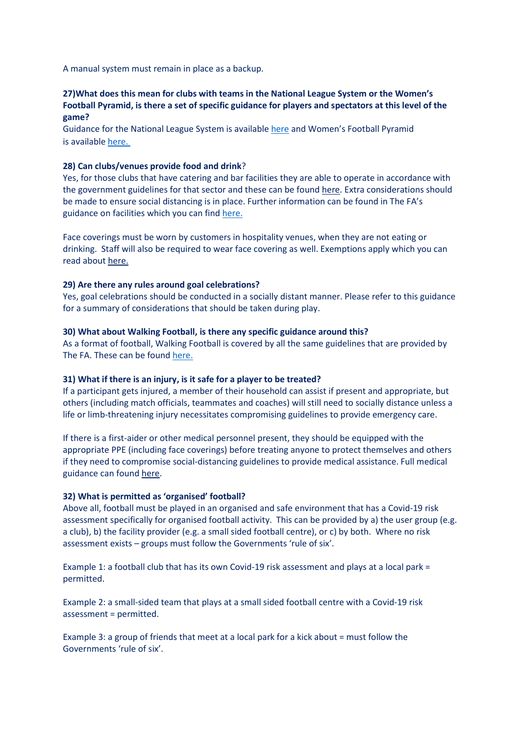A manual system must remain in place as a backup.

## 27)What does this mean for clubs with teams in the National League System or the Women's Football Pyramid, is there a set of specific guidance for players and spectators at this level of the game?

Guidance for the National League System is available here and Women's Football Pyramid is available here.

### 28) Can clubs/venues provide food and drink?

Yes, for those clubs that have catering and bar facilities they are able to operate in accordance with the government guidelines for that sector and these can be found here. Extra considerations should be made to ensure social distancing is in place. Further information can be found in The FA's guidance on facilities which you can find here.

Face coverings must be worn by customers in hospitality venues, when they are not eating or drinking. Staff will also be required to wear face covering as well. Exemptions apply which you can read about here.

### 29) Are there any rules around goal celebrations?

Yes, goal celebrations should be conducted in a socially distant manner. Please refer to this guidance for a summary of considerations that should be taken during play.

#### 30) What about Walking Football, is there any specific guidance around this?

As a format of football, Walking Football is covered by all the same guidelines that are provided by The FA. These can be found here.

#### 31) What if there is an injury, is it safe for a player to be treated?

If a participant gets injured, a member of their household can assist if present and appropriate, but others (including match officials, teammates and coaches) will still need to socially distance unless a life or limb-threatening injury necessitates compromising guidelines to provide emergency care.

If there is a first-aider or other medical personnel present, they should be equipped with the appropriate PPE (including face coverings) before treating anyone to protect themselves and others if they need to compromise social-distancing guidelines to provide medical assistance. Full medical guidance can found here.

#### 32) What is permitted as 'organised' football?

Above all, football must be played in an organised and safe environment that has a Covid-19 risk assessment specifically for organised football activity. This can be provided by a) the user group (e.g. a club), b) the facility provider (e.g. a small sided football centre), or c) by both. Where no risk assessment exists – groups must follow the Governments 'rule of six'.

Example 1: a football club that has its own Covid-19 risk assessment and plays at a local park = permitted.

Example 2: a small-sided team that plays at a small sided football centre with a Covid-19 risk assessment = permitted.

Example 3: a group of friends that meet at a local park for a kick about = must follow the Governments 'rule of six'.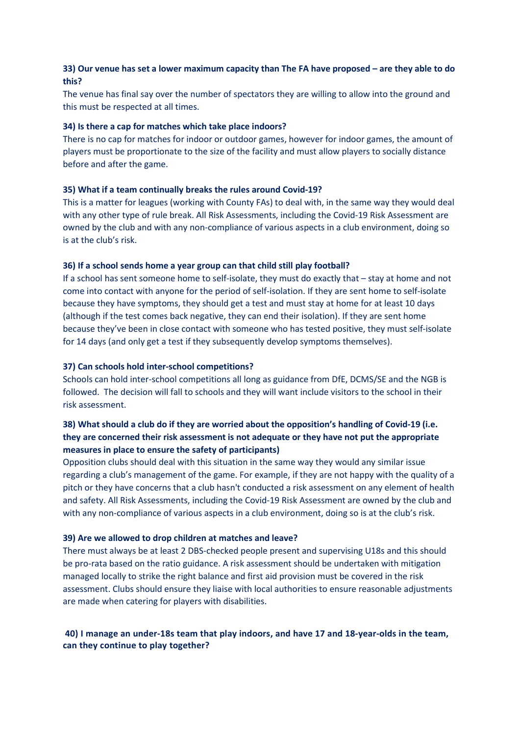# 33) Our venue has set a lower maximum capacity than The FA have proposed – are they able to do this?

The venue has final say over the number of spectators they are willing to allow into the ground and this must be respected at all times.

## 34) Is there a cap for matches which take place indoors?

There is no cap for matches for indoor or outdoor games, however for indoor games, the amount of players must be proportionate to the size of the facility and must allow players to socially distance before and after the game.

## 35) What if a team continually breaks the rules around Covid-19?

This is a matter for leagues (working with County FAs) to deal with, in the same way they would deal with any other type of rule break. All Risk Assessments, including the Covid-19 Risk Assessment are owned by the club and with any non-compliance of various aspects in a club environment, doing so is at the club's risk.

### 36) If a school sends home a year group can that child still play football?

If a school has sent someone home to self-isolate, they must do exactly that – stay at home and not come into contact with anyone for the period of self-isolation. If they are sent home to self-isolate because they have symptoms, they should get a test and must stay at home for at least 10 days (although if the test comes back negative, they can end their isolation). If they are sent home because they've been in close contact with someone who has tested positive, they must self-isolate for 14 days (and only get a test if they subsequently develop symptoms themselves).

### 37) Can schools hold inter-school competitions?

Schools can hold inter-school competitions all long as guidance from DfE, DCMS/SE and the NGB is followed. The decision will fall to schools and they will want include visitors to the school in their risk assessment.

# 38) What should a club do if they are worried about the opposition's handling of Covid-19 (i.e. they are concerned their risk assessment is not adequate or they have not put the appropriate measures in place to ensure the safety of participants)

Opposition clubs should deal with this situation in the same way they would any similar issue regarding a club's management of the game. For example, if they are not happy with the quality of a pitch or they have concerns that a club hasn't conducted a risk assessment on any element of health and safety. All Risk Assessments, including the Covid-19 Risk Assessment are owned by the club and with any non-compliance of various aspects in a club environment, doing so is at the club's risk.

#### 39) Are we allowed to drop children at matches and leave?

There must always be at least 2 DBS-checked people present and supervising U18s and this should be pro-rata based on the ratio guidance. A risk assessment should be undertaken with mitigation managed locally to strike the right balance and first aid provision must be covered in the risk assessment. Clubs should ensure they liaise with local authorities to ensure reasonable adjustments are made when catering for players with disabilities.

## 40) I manage an under-18s team that play indoors, and have 17 and 18-year-olds in the team, can they continue to play together?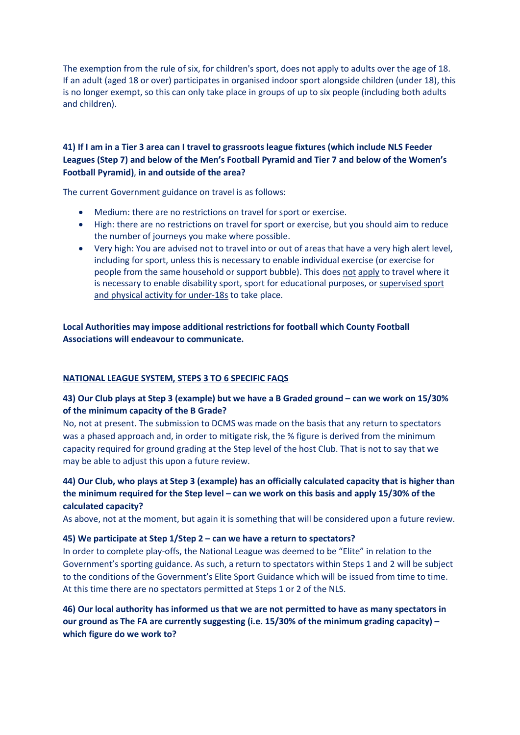The exemption from the rule of six, for children's sport, does not apply to adults over the age of 18. If an adult (aged 18 or over) participates in organised indoor sport alongside children (under 18), this is no longer exempt, so this can only take place in groups of up to six people (including both adults and children).

# 41) If I am in a Tier 3 area can I travel to grassroots league fixtures (which include NLS Feeder Leagues (Step 7) and below of the Men's Football Pyramid and Tier 7 and below of the Women's Football Pyramid), in and outside of the area?

The current Government guidance on travel is as follows:

- Medium: there are no restrictions on travel for sport or exercise.
- High: there are no restrictions on travel for sport or exercise, but you should aim to reduce the number of journeys you make where possible.
- Very high: You are advised not to travel into or out of areas that have a very high alert level, including for sport, unless this is necessary to enable individual exercise (or exercise for people from the same household or support bubble). This does not apply to travel where it is necessary to enable disability sport, sport for educational purposes, or supervised sport and physical activity for under-18s to take place.

Local Authorities may impose additional restrictions for football which County Football Associations will endeavour to communicate.

## NATIONAL LEAGUE SYSTEM, STEPS 3 TO 6 SPECIFIC FAQS

# 43) Our Club plays at Step 3 (example) but we have a B Graded ground – can we work on 15/30% of the minimum capacity of the B Grade?

No, not at present. The submission to DCMS was made on the basis that any return to spectators was a phased approach and, in order to mitigate risk, the % figure is derived from the minimum capacity required for ground grading at the Step level of the host Club. That is not to say that we may be able to adjust this upon a future review.

# 44) Our Club, who plays at Step 3 (example) has an officially calculated capacity that is higher than the minimum required for the Step level – can we work on this basis and apply 15/30% of the calculated capacity?

As above, not at the moment, but again it is something that will be considered upon a future review.

#### 45) We participate at Step 1/Step 2 – can we have a return to spectators?

In order to complete play-offs, the National League was deemed to be "Elite" in relation to the Government's sporting guidance. As such, a return to spectators within Steps 1 and 2 will be subject to the conditions of the Government's Elite Sport Guidance which will be issued from time to time. At this time there are no spectators permitted at Steps 1 or 2 of the NLS.

# 46) Our local authority has informed us that we are not permitted to have as many spectators in our ground as The FA are currently suggesting (i.e. 15/30% of the minimum grading capacity) – which figure do we work to?